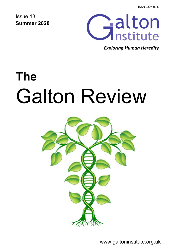ISSN 2397-9917

Issue 13 **Summer 2020**



*Exploring Human Heredity*

# **The**  Galton Review



www.galtoninstitute.org.uk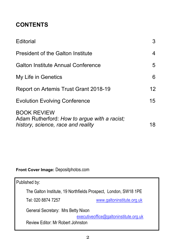# **CONTENTS**

| Editorial                                                                                                | 3               |
|----------------------------------------------------------------------------------------------------------|-----------------|
| <b>President of the Galton Institute</b>                                                                 | 4               |
| <b>Galton Institute Annual Conference</b>                                                                | 5               |
| My Life in Genetics                                                                                      | 6               |
| Report on Artemis Trust Grant 2018-19                                                                    | 12 <sup>°</sup> |
| <b>Evolution Evolving Conference</b>                                                                     | 15              |
| <b>BOOK REVIEW</b><br>Adam Rutherford: How to argue with a racist;<br>history, science, race and reality | 18              |

# **Front Cover Image:** Depositphotos.com

| Published by:                                                   |                            |  |
|-----------------------------------------------------------------|----------------------------|--|
| The Galton Institute, 19 Northfields Prospect, London, SW18 1PE |                            |  |
| Tel: 020 8874 7257                                              | www.galtoninstitute.org.uk |  |
| General Secretary: Mrs Betty Nixon                              |                            |  |
| executiveoffice@galtoninstitute.org.uk                          |                            |  |
| Review Editor: Mr Robert Johnston                               |                            |  |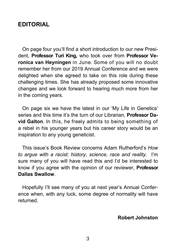# **EDITORIAL**

 On page four you'll find a short introduction to our new President, **Professor Turi King,** who took over from **Professor Veronica van Heyningen** in June. Some of you will no doubt remember her from our 2019 Annual Conference and we were delighted when she agreed to take on this role during these challenging times. She has already proposed some innovative changes and we look forward to hearing much more from her in the coming years.

 On page six we have the latest in our 'My Life in Genetics' series and this time it's the turn of our Librarian, **Professor David Galton**. In this, he freely admits to being something of a rebel in his younger years but his career story would be an inspiration to any young geneticist.

 This issue's Book Review concerns Adam Rutherford's *How to argue with a racist: history, science, race and reality.* I'm sure many of you will have read this and I'd be interested to know if you agree with the opinion of our reviewer, **Professor Dallas Swallow**.

 Hopefully I'll see many of you at next year's Annual Conference when, with any luck, some degree of normality will have returned.

#### **Robert Johnston**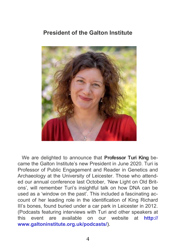# **President of the Galton Institute**



 We are delighted to announce that **Professor Turi King** became the Galton Institute's new President in June 2020. Turi is Professor of Public Engagement and Reader in Genetics and Archaeology at the University of Leicester. Those who attended our annual conference last October, 'New Light on Old Britons', will remember Turi's insightful talk on how DNA can be used as a 'window on the past'. This included a fascinating account of her leading role in the identification of King Richard III's bones, found buried under a car park in Leicester in 2012. (Podcasts featuring interviews with Turi and other speakers at this event are available on our website at **http:// www.galtoninstitute.org.uk/podcasts/**).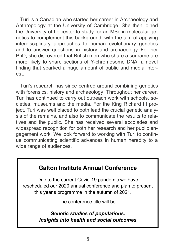Turi is a Canadian who started her career in Archaeology and Anthropology at the University of Cambridge. She then joined the University of Leicester to study for an MSc in molecular genetics to complement this background, with the aim of applying interdisciplinary approaches to human evolutionary genetics and to answer questions in history and archaeology. For her PhD, she discovered that British men who share a surname are more likely to share sections of Y-chromosome DNA, a novel finding that sparked a huge amount of public and media interest.

 Turi's research has since centred around combining genetics with forensics, history and archaeology. Throughout her career, Turi has continued to carry out outreach work with schools, societies, museums and the media. For the King Richard III project, Turi was well placed to both lead the crucial genetic analysis of the remains, and also to communicate the results to relatives and the public. She has received several accolades and widespread recognition for both her research and her public engagement work. We look forward to working with Turi to continue communicating scientific advances in human heredity to a wide range of audiences.

# **Galton Institute Annual Conference**

Due to the current Covid-19 pandemic we have rescheduled our 2020 annual conference and plan to present this year's programme in the autumn of 2021.

The conference title will be:

*Genetic studies of populations: Insights into health and social outcomes*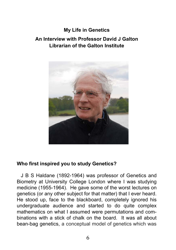## **My Life in Genetics**

# **An Interview with Professor David J Galton Librarian of the Galton Institute**



#### **Who first inspired you to study Genetics?**

J B S Haldane (1892-1964) was professor of Genetics and Biometry at University College London where I was studying medicine (1955-1964). He gave some of the worst lectures on genetics (or any other subject for that matter) that I ever heard. He stood up, face to the blackboard, completely ignored his undergraduate audience and started to do quite complex mathematics on what I assumed were permutations and combinations with a stick of chalk on the board. It was all about bean-bag genetics, a conceptual model of genetics which was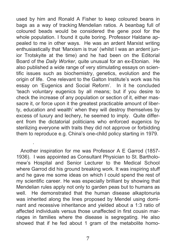used by him and Ronald A Fisher to keep coloured beans in bags as a way of tracking Mendelian ratios. A beanbag full of coloured beads would be considered the gene pool for the whole population. I found it quite boring. Professor Haldane appealed to me in other ways. He was an ardent Marxist writing enthusiastically that 'Marxism is true' (whilst I was an ardent junior Trotskyite at the time) and he had been on the Editorial Board of the *Daily Worker*, quite unusual for an ex-Etonian. He also published a wide range of very stimulating essays on scientific issues such as biochemistry, genetics, evolution and the origin of life. One relevant to the Galton Institute's work was his essay on 'Eugenics and Social Reform'. In it he concluded 'teach voluntary eugenics by all means; but if you desire to check the increase of any population or section of it, either massacre it, or force upon it the greatest practicable amount of liberty, education and wealth' when they will destroy themselves by excess of luxury and lechery, he seemed to imply. Quite different from the dictatorial politicians who enforced eugenics by sterilizing everyone with traits they did not approve or forbidding them to reproduce e.g. China's one-child policy starting in 1979.

 Another inspiration for me was Professor A E Garrod (1857- 1936). I was appointed as Consultant Physician to St. Bartholomew's Hospital and Senior Lecturer to the Medical School where Garrod did his ground breaking work. It was inspiring stuff and he gave me some ideas on which I could spend the rest of my scientific career. He was especially brilliant by showing that Mendelian rules apply not only to garden peas but to humans as well. He demonstrated that the human disease alkaptonuria was inherited along the lines proposed by Mendel using dominant and recessive inheritance and yielded about a 1:3 ratio of affected individuals versus those unaffected in first cousin marriages in families where the disease is segregating. He also showed that if he fed about 1 gram of the metabolite homo-

.

7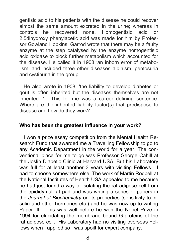gentisic acid to his patients with the disease he could recover almost the same amount excreted in the urine; whereas in controls he recovered none. Homogentisic acid or 2,5dihydroxy phenylacetic acid was made for him by Professor Gowland Hopkins. Garrod wrote that there may be a faulty enzyme at the step catalysed by the enzyme homogentisic acid oxidase to block further metabolism which accounted for the disease. He called it in 1908 'an inborn error of metabolism' and included three other diseases albinism, pentosuria and cystinuria in the group.

 He also wrote in 1908: 'the liability to develop diabetes or gout is often inherited but the diseases themselves are not inherited...'. This for me was a career defining sentence. Where are the inherited liability factor(s) that predispose to disease and how do they work?

#### **Who has been the greatest influence in your work?**

I won a prize essay competition from the Mental Health Research Fund that awarded me a Travelling Fellowship to go to any Academic Department in the world for a year. The conventional place for me to go was Professor George Cahill at the Joslin Diabetic Clinic at Harvard USA. But his Laboratory was full for at least another 3 years with visiting Fellows. had to choose somewhere else. The work of Martin Rodbell at the National Institutes of Health USA appealed to me because he had just found a way of isolating the rat adipose cell from the epididymal fat pad and was writing a series of papers in the *Journal of Biochemistry* on its properties (sensitivity to insulin and other hormones etc.) and he was now up to writing Paper III. This was well before he won the Nobel Prize in 1994 for elucidating the membrane bound G-proteins of the rat adipose cell. His Laboratory had no visiting overseas Fellows when I applied so I was spoilt for expert company.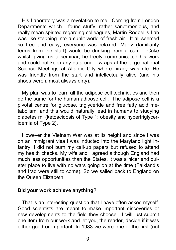His Laboratory was a revelation to me. Coming from London Departments which I found stuffy, rather sanctimonious, and really mean spirited regarding colleagues, Martin Rodbell's Lab was like stepping into a sunlit world of fresh air. It all seemed so free and easy, everyone was relaxed, Marty (familiarity terms from the start) would be drinking from a can of Coke whilst giving us a seminar, he freely communicated his work and could not keep any data under wraps at the large national Science Meetings at Atlantic City where piracy was rife. He was friendly from the start and intellectually alive (and his shoes were almost always dirty).

 My plan was to learn all the adipose cell techniques and then do the same for the human adipose cell. The adipose cell is a pivotal centre for glucose, triglyceride and free fatty acid metabolism; and this would naturally lead in humans to studying diabetes m. (ketoacidosis of Type 1; obesity and hypertriglyceridemia of Type 2).

 However the Vietnam War was at its height and since I was on an immigrant visa I was inducted into the Maryland light Infantry. I did not burn my call-up papers but refused to attend my health checks. My wife and I agreed although England had much less opportunities than the States, it was a nicer and quieter place to live with no wars going on at the time (Falkland's and Iraq were still to come). So we sailed back to England on the Queen Elizabeth.

#### **Did your work achieve anything?**

That is an interesting question that I have often asked myself. Good scientists are meant to make important discoveries or new developments to the field they choose. I will just submit one item from our work and let you, the reader, decide if it was either good or important. In 1983 we were one of the first (not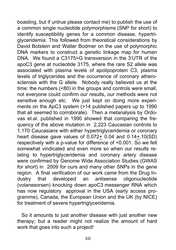boasting, but if untrue please contact me) to publish the use of a common single nucleotide polymorphisms (SNP for short) to identify susceptibility genes for a common disease, hypertriglyceridemia. This followed from theoretical considerations by David Botstein and Walter Bodmer on the use of polymorphic DNA markers to construct a genetic linkage map for human DNA. We found a C3175>G transversion in the 3'UTR of the apoC3 gene at nucleotide 3175, where the rare S2 allele was associated with plasma levels of apolipoprotein C3, plasma levels of triglycerides and the occurrence of coronary atherosclerosis with the G allele. Nobody really believed us at the time: the numbers (<80) in the groups and controls were small. not everyone could confirm our results, our methods were not sensitive enough etc. We just kept on doing more experiments on the ApC3 system (>14 published papers up to 1990 that all seemed to corroborate). Then a metanalysis by Ordovas et.al. published in 1990 showed that comparing the frequency of the above mutation in 2,223 Caucasian controls to 1,170 Caucasians with either hypertriglyceridemia or coronary heart disease gave values of 0.072+ 0.04 and 0.14+.10(SD) respectively with a p-value for difference of <0.001. So we felt somewhat vindicated and even more so when our results relating to hypertriglyceridemia and coronary artery disease were confirmed by Genome Wide Association Studies (GWAS for short) in 2009 for ours and many other SNPs in the gene region. A final verification of our work came from the Drug Industry that developed an antisense oligonucleotide (volanesorsen) knocking down apoC3 messenger RNA which has now regulatory approval in the USA (early access programme), Canada, the European Union and the UK (by NICE) for treatment of severe hypertriglyceridemia.

 So it amounts to just another disease with just another new therapy; but a reader might not realize the amount of hard work that goes into such a project!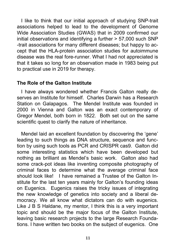I like to think that our initial approach of studying SNP-trait associations helped to lead to the development of Genome Wide Association Studies (GWAS) that in 2009 confirmed our initial observations and identifying a further > 57,000 such SNP -trait associations for many different diseases; but happy to accept that the HLA-protein association studies for autoimmune disease was the real fore-runner. What I had not appreciated is that it takes so long for an observation made in 1983 being put to practical use in 2019 for therapy.

### **The Role of the Galton Institute**

 I have always wondered whether Francis Galton really deserves an Institute for himself. Charles Darwin has a Research Station on Galapagos. The Mendel Institute was founded in 2000 in Vienna and Galton was an exact contemporary of Gregor Mendel, both born in 1822. Both set out on the same scientific quest to clarify the nature of inheritance.

 Mendel laid an excellent foundation by discovering the 'gene' leading to such things as DNA structure, sequence and function by using such tools as PCR and CRISPR cas9. Galton did some interesting statistics which have been developed but nothing as brilliant as Mendel's basic work. Galton also had some crack-pot ideas like inventing composite photography of criminal faces to determine what the average criminal face should look like! I have remained a Trustee of the Galton Institute for the last ten years mainly for Galton's founding ideas on Eugenics. Eugenics raises the tricky issues of integrating the new knowledge of genetics into society and a liberal democracy. We all know what dictators can do with eugenics. Like J B S Haldane, my mentor, I think this is a very important topic and should be the major focus of the Galton Institute, leaving basic research projects to the large Research Foundations. I have written two books on the subject of eugenics. One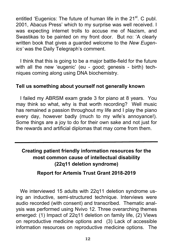entitled 'Eugenics: The future of human life in the  $21<sup>st</sup>$ . C publ. 2001, Abacus Press' which to my surprise was well received. I was expecting internet trolls to accuse me of Nazism, and Swastikas to be painted on my front door. But no: 'A clearly written book that gives a guarded welcome to the *New Eugenics'* was the Daily Telegraph's comment.

 I think that this is going to be a major battle-field for the future with all the new 'eugenic' (eu - good; genesis - birth) techniques coming along using DNA biochemistry.

#### **Tell us something about yourself not generally known**

I failed my ABRSM exam grade 3 for piano at 8 years. You may think so what, why is that worth recording? Well music has remained a passion throughout my life and I play the piano every day, however badly (much to my wife's annoyance!). Some things are a joy to do for their own sake and not just for the rewards and artificial diplomas that may come from them.

# **Creating patient friendly information resources for the most common cause of intellectual disability (22q11 deletion syndrome)**

## **Report for Artemis Trust Grant 2018-2019**

 We interviewed 15 adults with 22q11 deletion syndrome using an inductive, semi-structured technique. Interviews were audio recorded (with consent) and transcribed. Thematic analysis was performed using Nvivo 12. Three overarching themes emerged: (1) Impact of 22q11 deletion on family life, (2) Views on reproductive medicine options and (3) Lack of accessible information resources on reproductive medicine options. The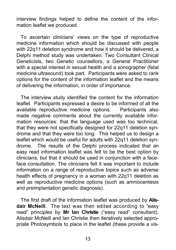interview findings helped to define the content of the information leaflet we produced.

 To ascertain clinicians' views on the type of reproductive medicine information which should be discussed with people with 22q11 deletion syndrome and how it should be delivered, a Delphi method study was undertaken. Two Consultant Clinical Geneticists, two Genetic counsellors, a General Practitioner with a special interest in sexual health and a sonographer (fetal medicine ultrasound) took part. Participants were asked to rank options for the content of the information leaflet and the means of delivering the information, in order of importance.

 The interview study identified the content for the information leaflet. Participants expressed a desire to be informed of all the available reproductive medicine options. Participants also made negative comments about the currently available information resources: that the language used was too technical, that they were not specifically designed for 22q11 deletion syndrome and that they were too long. This helped us to design a leaflet which would be useful for adults with 22q11 deletion syndrome. The results of the Delphi process indicated that an easy read information leaflet was felt to be the best option by clinicians, but that it should be used in conjunction with a faceface consultation. The clinicians felt it was important to include information on a range of reproductive topics such as adverse health effects of pregnancy in a woman with 22q11 deletion as well as reproductive medicine options (such as amniocentesis and preimplantation genetic diagnosis).

 The first draft of the information leaflet was produced by **Alisdair McNeill**. The text was then edited according to "easy read" principles by **Mr Ian Christie** ("easy read" consultant). Alisdair McNeill and Ian Christie then iteratively selected appropriate Photosymbols to place in the leaflet (these provide a vis-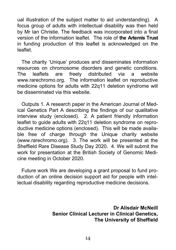ual illustration of the subject matter to aid understanding). A focus group of adults with intellectual disability was then held by Mr Ian Christie. The feedback was incorporated into a final version of the information leaflet. The role of **the Artemis Trust**  in funding production of this leaflet is acknowledged on the leaflet.

 The charity 'Unique' produces and disseminates information resources on chromosome disorders and genetic conditions. The leaflets are freely distributed via a website www.rarechromo.org. The information leaflet on reproductive medicine options for adults with 22q11 deletion syndrome will be disseminated via this website.

 Outputs 1. A research paper in the American Journal of Medical Genetics Part A describing the findings of our qualitative interview study (enclosed). 2. A patient friendly information leaflet to guide adults with 22q11 deletion syndrome on reproductive medicine options (enclosed). This will be made available free of charge through the Unique charity website (www.rarechromo.org). 3. The work will be presented at the Sheffield Rare Disease Study Day 2020. 4. We will submit the work for presentation at the British Society of Genomic Medicine meeting in October 2020.

 Future work We are developing a grant proposal to fund production of an online decision support aid for people with intellectual disability regarding reproductive medicine decisions.

> **Dr Alisdair McNeill Senior Clinical Lecturer in Clinical Genetics, The University of Sheffield**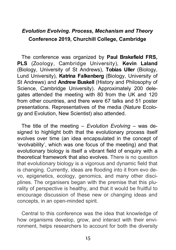# *Evolution Evolving. Process, Mechanism and Theory* **Conference 2019, Churchill College, Cambridge**

 The conference was organized by **Paul Brakefield FRS, PLS** (Zoology, Cambridge University), **Kevin Laland** (Biology, University of St Andrews), **Tobias Uller** (Biology, Lund University), **Katrina Falkenberg** (Biology, University of St Andrews) and **Andrew Buskell** (History and Philosophy of Science, Cambridge University). Approximately 200 delegates attended the meeting with 80 from the UK and 120 from other countries, and there were 67 talks and 51 poster presentations. Representatives of the media (Nature Ecology and Evolution, New Scientist) also attended.

 The title of the meeting – *Evolution Evolving* – was designed to highlight both that the evolutionary process itself evolves over time (an idea encapsulated in the concept of 'evolvability', which was one focus of the meeting) and that evolutionary biology is itself a vibrant field of enquiry with a theoretical framework that also evolves. There is no question that evolutionary biology is a vigorous and dynamic field that is changing. Currently, ideas are flooding into it from evo devo, epigenetics, ecology, genomics, and many other disciplines. The organisers began with the premise that this plurality of perspective is healthy, and that it would be fruitful to encourage discussion of these new or changing ideas and concepts, in an open-minded spirit.

 Central to this conference was the idea that knowledge of how organisms develop, grow, and interact with their environment, helps researchers to account for both the diversity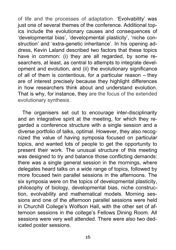of life and the processes of adaptation. 'Evolvability' was just one of several themes of the conference. Additional topics include the evolutionary causes and consequences of 'developmental bias', 'developmental plasticity', 'niche construction' and 'extra-genetic inheritance'. In his opening address, Kevin Laland described two factors that these topics have in common: (i) they are all regarded, by some researchers, at least, as central to attempts to integrate development and evolution, and (ii) the evolutionary significance of all of them is contentious, for a particular reason – they are of interest precisely because they highlight differences in how researchers think about and understand evolution. That is why, for instance, they are the focus of the extended evolutionary synthesis.

 The organisers set out to encourage inter-disciplinarity and an integrative spirit at the meeting, for which they regarded a conference structure with a single session and a diverse portfolio of talks, optimal. However, they also recognized the value of having symposia focused on particular topics, and wanted lots of people to get the opportunity to present their work. The unusual structure of this meeting was designed to try and balance those conflicting demands: there was a single general session in the mornings, where delegates heard talks on a wide range of topics, followed by more focused twin parallel sessions in the afternoons. The six symposia were on the topics of developmental plasticity, philosophy of biology, developmental bias, niche construction, evolvability and mathematical models. Morning sessions and one of the afternoon parallel sessions were held in Churchill College's Wolfson Hall, with the other set of afternoon sessions in the college's Fellows Dining Room. All sessions were very well attended. There were also two dedicated poster sessions.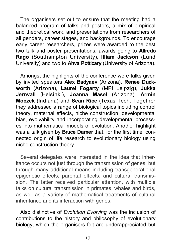The organisers set out to ensure that the meeting had a balanced program of talks and posters, a mix of empirical and theoretical work, and presentations from researchers of all genders, career stages, and backgrounds. To encourage early career researchers, prizes were awarded to the best two talk and poster presentations, awards going to **Alfredo Rago** (Southampton University), **Illiam Jackson** (Lund University) and two to **Ahva Potticary** (University of Arizona).

 Amongst the highlights of the conference were talks given by invited speakers **Alex Badyaev** (Arizona), **Renee Duckworth** (Arizona), **Laurel Fogarty** (MPI Leipzig), **Jukka Jernvall** (Helsinki), **Joanna Masel** (Arizona), **Armin Moczek** (Indiana) and **Sean Rice** (Texas Tech. Together they addressed a range of biological topics including control theory, maternal effects, niche construction, developmental bias, evolvability and incorporating developmental processes into mathematical models of evolution. Another highlight was a talk given by **Bruce Damer** that, for the first time, connected origin of life research to evolutionary biology using niche construction theory.

 Several delegates were interested in the idea that inheritance occurs not just through the transmission of genes, but through many additional means including transgenerational epigenetic effects, parental effects, and cultural transmission. The latter received particular attention, with multiple talks on cultural transmission in primates, whales and birds, as well as a variety of mathematical treatments of cultural inheritance and its interaction with genes.

 Also distinctive of *Evolution Evolving* was the inclusion of contributions to the history and philosophy of evolutionary biology, which the organisers felt are underappreciated but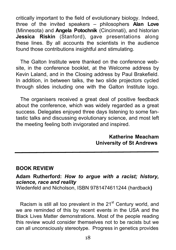critically important to the field of evolutionary biology. Indeed, three of the invited speakers – philosophers **Alan Love** (Minnesota) and **Angela Potochnik** (Cincinnati), and historian **Jessica Riskin** (Stanford), gave presentations along these lines. By all accounts the scientists in the audience found those contributions insightful and stimulating.

 The Galton Institute were thanked on the conference website, in the conference booklet, at the Welcome address by Kevin Laland, and in the Closing address by Paul Brakefield. In addition, in between talks, the two slide projectors cycled through slides including one with the Galton Institute logo.

 The organisers received a great deal of positive feedback about the conference, which was widely regarded as a great success. Delegates enjoyed three days listening to some fantastic talks and discussing evolutionary science, and most left the meeting feeling both invigorated and inspired.

> **Katherine Meacham University of St Andrews**

## **BOOK REVIEW**

## **Adam Rutherford:** *How to argue with a racist; history, science, race and reality*

Wiedenfeld and Nicholson, ISBN 9781474611244 (hardback**)** 

Racism is still all too prevalent in the  $21<sup>st</sup>$  Century world, and we are reminded of this by recent events in the USA and the Black Lives Matter demonstrations. Most of the people reading this review would consider themselves not to be racists but we can all unconsciously stereotype. Progress in genetics provides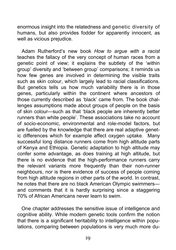enormous insight into the relatedness and genetic diversity of humans, but also provides fodder for apparently innocent, as well as vicious prejudice.

 Adam Rutherford's new book *How to argue with a racist*  teaches the fallacy of the very concept of human races from a genetic point of view; it explains the subtlety of the 'within group' diversity and 'between group' comparisons; it reminds us how few genes are involved in determining the visible traits such as skin colour, which largely lead to racial classifications. But genetics tells us how much variability there is in those genes, particularly within the continent where ancestors of those currently described as 'black' came from. The book challenges assumptions made about groups of people on the basis of skin colour—such as that 'black people are inherently better runners than white people'. These associations take no account of socio-economic, environmental and role-model factors, but are fuelled by the knowledge that there are real adaptive genetic differences which for example affect oxygen uptake. Many successful long distance runners come from high altitude parts of Kenya and Ethiopia. Genetic adaptation to high altitude may confer some advantage, as does training at high altitude, but there is no evidence that the high-performance runners carry the relevant variants more frequently than their non-runner neighbours, nor is there evidence of success of people coming from high altitude regions in other parts of the world. In contrast, he notes that there are no black American Olympic swimmers and comments that it is hardly surprising since a staggering 70% of African Americans never learn to swim.

 One chapter addresses the sensitive issue of intelligence and cognitive ability. While modern genetic tools confirm the notion that there is a significant heritability to intelligence within populations, comparing between populations is very much more du